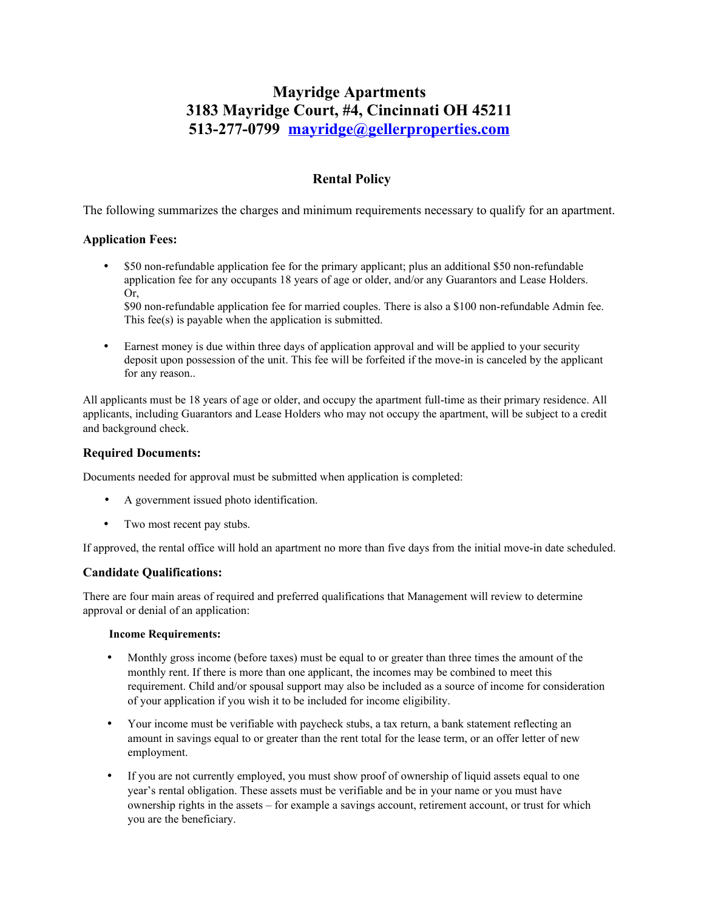# **Mayridge Apartments 3183 Mayridge Court, #4, Cincinnati OH 45211 513-277-0799 [mayridge@gellerproperties.com](mailto:oldecape@gellerproperties.com)**

# **Rental Policy**

The following summarizes the charges and minimum requirements necessary to qualify for an apartment.

### **Application Fees:**

 \$50 non-refundable application fee for the primary applicant; plus an additional \$50 non-refundable application fee for any occupants 18 years of age or older, and/or any Guarantors and Lease Holders. Or,

\$90 non-refundable application fee for married couples. There is also a \$100 non-refundable Admin fee. This fee(s) is payable when the application is submitted.

 Earnest money is due within three days of application approval and will be applied to your security deposit upon possession of the unit. This fee will be forfeited if the move-in is canceled by the applicant for any reason..

All applicants must be 18 years of age or older, and occupy the apartment full-time as their primary residence. All applicants, including Guarantors and Lease Holders who may not occupy the apartment, will be subject to a credit and background check.

#### **Required Documents:**

Documents needed for approval must be submitted when application is completed:

- A government issued photo identification.
- Two most recent pay stubs.

If approved, the rental office will hold an apartment no more than five days from the initial move-in date scheduled.

### **Candidate Qualifications:**

There are four main areas of required and preferred qualifications that Management will review to determine approval or denial of an application:

#### **Income Requirements:**

- Monthly gross income (before taxes) must be equal to or greater than three times the amount of the monthly rent. If there is more than one applicant, the incomes may be combined to meet this requirement. Child and/or spousal support may also be included as a source of income for consideration of your application if you wish it to be included for income eligibility.
- Your income must be verifiable with paycheck stubs, a tax return, a bank statement reflecting an amount in savings equal to or greater than the rent total for the lease term, or an offer letter of new employment.
- If you are not currently employed, you must show proof of ownership of liquid assets equal to one year's rental obligation. These assets must be verifiable and be in your name or you must have ownership rights in the assets – for example a savings account, retirement account, or trust for which you are the beneficiary.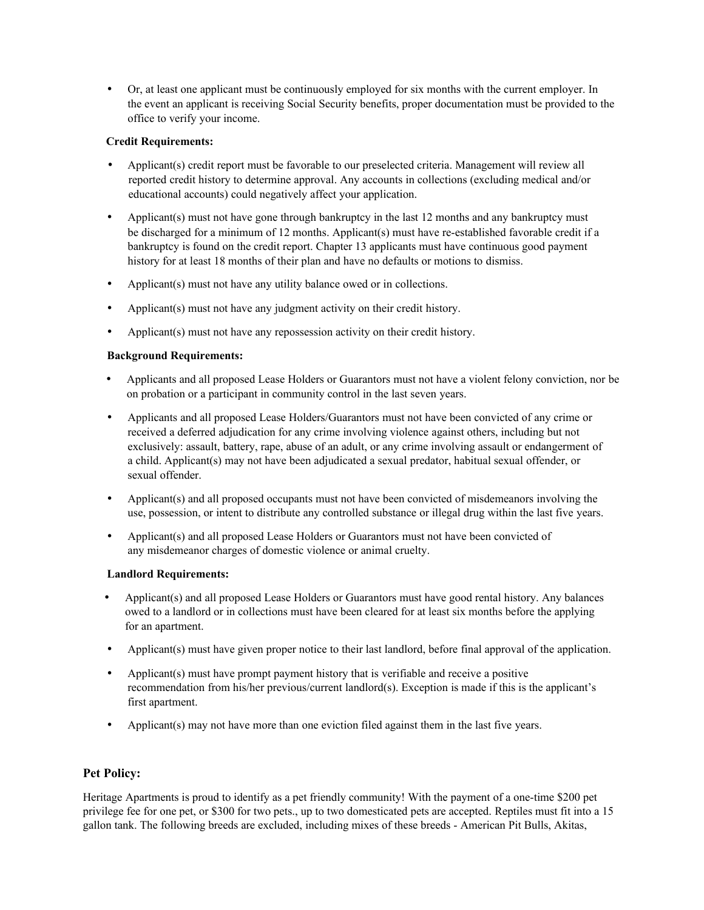Or, at least one applicant must be continuously employed for six months with the current employer. In the event an applicant is receiving Social Security benefits, proper documentation must be provided to the office to verify your income.

### **Credit Requirements:**

- Applicant(s) credit report must be favorable to our preselected criteria. Management will review all reported credit history to determine approval. Any accounts in collections (excluding medical and/or educational accounts) could negatively affect your application.
- Applicant(s) must not have gone through bankruptcy in the last 12 months and any bankruptcy must be discharged for a minimum of 12 months. Applicant(s) must have re-established favorable credit if a bankruptcy is found on the credit report. Chapter 13 applicants must have continuous good payment history for at least 18 months of their plan and have no defaults or motions to dismiss.
- Applicant(s) must not have any utility balance owed or in collections.
- Applicant(s) must not have any judgment activity on their credit history.
- Applicant(s) must not have any repossession activity on their credit history.

### **Background Requirements:**

- Applicants and all proposed Lease Holders or Guarantors must not have a violent felony conviction, nor be on probation or a participant in community control in the last seven years.
- Applicants and all proposed Lease Holders/Guarantors must not have been convicted of any crime or received a deferred adjudication for any crime involving violence against others, including but not exclusively: assault, battery, rape, abuse of an adult, or any crime involving assault or endangerment of a child. Applicant(s) may not have been adjudicated a sexual predator, habitual sexual offender, or sexual offender.
- Applicant(s) and all proposed occupants must not have been convicted of misdemeanors involving the use, possession, or intent to distribute any controlled substance or illegal drug within the last five years.
- Applicant(s) and all proposed Lease Holders or Guarantors must not have been convicted of any misdemeanor charges of domestic violence or animal cruelty.

#### **Landlord Requirements:**

- Applicant(s) and all proposed Lease Holders or Guarantors must have good rental history. Any balances owed to a landlord or in collections must have been cleared for at least six months before the applying for an apartment.
- Applicant(s) must have given proper notice to their last landlord, before final approval of the application.
- Applicant(s) must have prompt payment history that is verifiable and receive a positive recommendation from his/her previous/current landlord(s). Exception is made if this is the applicant's first apartment.
- Applicant(s) may not have more than one eviction filed against them in the last five years.

### **Pet Policy:**

Heritage Apartments is proud to identify as a pet friendly community! With the payment of a one-time \$200 pet privilege fee for one pet, or \$300 for two pets., up to two domesticated pets are accepted. Reptiles must fit into a 15 gallon tank. The following breeds are excluded, including mixes of these breeds - American Pit Bulls, Akitas,